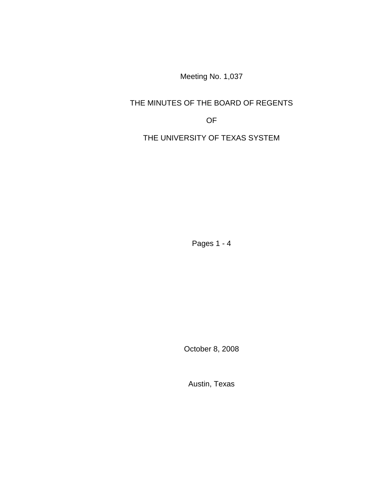Meeting No. 1,037

# THE MINUTES OF THE BOARD OF REGENTS

OF

THE UNIVERSITY OF TEXAS SYSTEM

Pages 1 - 4

October 8, 2008

Austin, Texas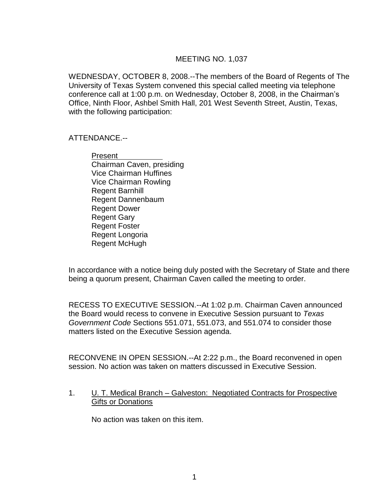### MEETING NO. 1,037

WEDNESDAY, OCTOBER 8, 2008.--The members of the Board of Regents of The University of Texas System convened this special called meeting via telephone conference call at 1:00 p.m. on Wednesday, October 8, 2008, in the Chairman's Office, Ninth Floor, Ashbel Smith Hall, 201 West Seventh Street, Austin, Texas, with the following participation:

#### ATTENDANCE.--

Present Chairman Caven, presiding Vice Chairman Huffines Vice Chairman Rowling Regent Barnhill Regent Dannenbaum Regent Dower Regent Gary Regent Foster Regent Longoria Regent McHugh

In accordance with a notice being duly posted with the Secretary of State and there being a quorum present, Chairman Caven called the meeting to order.

RECESS TO EXECUTIVE SESSION.--At 1:02 p.m. Chairman Caven announced the Board would recess to convene in Executive Session pursuant to *Texas Government Code* Sections 551.071, 551.073, and 551.074 to consider those matters listed on the Executive Session agenda.

RECONVENE IN OPEN SESSION.--At 2:22 p.m., the Board reconvened in open session. No action was taken on matters discussed in Executive Session.

#### 1. U. T. Medical Branch – Galveston: Negotiated Contracts for Prospective Gifts or Donations

No action was taken on this item.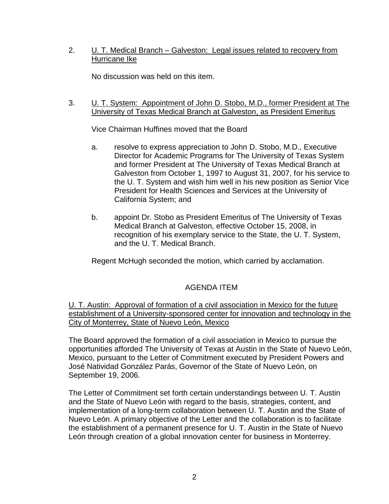## 2. U. T. Medical Branch – Galveston: Legal issues related to recovery from Hurricane Ike

No discussion was held on this item.

### 3. U. T. System: Appointment of John D. Stobo, M.D., former President at The University of Texas Medical Branch at Galveston, as President Emeritus

Vice Chairman Huffines moved that the Board

- a. resolve to express appreciation to John D. Stobo, M.D., Executive Director for Academic Programs for The University of Texas System and former President at The University of Texas Medical Branch at Galveston from October 1, 1997 to August 31, 2007, for his service to the U. T. System and wish him well in his new position as Senior Vice President for Health Sciences and Services at the University of California System; and
- b. appoint Dr. Stobo as President Emeritus of The University of Texas Medical Branch at Galveston, effective October 15, 2008, in recognition of his exemplary service to the State, the U. T. System, and the U. T. Medical Branch.

Regent McHugh seconded the motion, which carried by acclamation.

# AGENDA ITEM

U. T. Austin: Approval of formation of a civil association in Mexico for the future establishment of a University-sponsored center for innovation and technology in the City of Monterrey, State of Nuevo León, Mexico

The Board approved the formation of a civil association in Mexico to pursue the opportunities afforded The University of Texas at Austin in the State of Nuevo León, Mexico, pursuant to the Letter of Commitment executed by President Powers and José Natividad González Parás, Governor of the State of Nuevo León, on September 19, 2006.

The Letter of Commitment set forth certain understandings between U. T. Austin and the State of Nuevo León with regard to the basis, strategies, content, and implementation of a long-term collaboration between U. T. Austin and the State of Nuevo León. A primary objective of the Letter and the collaboration is to facilitate the establishment of a permanent presence for U. T. Austin in the State of Nuevo León through creation of a global innovation center for business in Monterrey.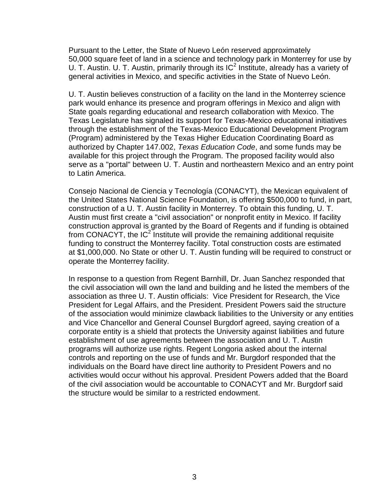Pursuant to the Letter, the State of Nuevo León reserved approximately 50,000 square feet of land in a science and technology park in Monterrey for use by U. T. Austin. U. T. Austin, primarily through its  $IC^2$  Institute, already has a variety of general activities in Mexico, and specific activities in the State of Nuevo León.

U. T. Austin believes construction of a facility on the land in the Monterrey science park would enhance its presence and program offerings in Mexico and align with State goals regarding educational and research collaboration with Mexico. The Texas Legislature has signaled its support for Texas-Mexico educational initiatives through the establishment of the Texas-Mexico Educational Development Program (Program) administered by the Texas Higher Education Coordinating Board as authorized by Chapter 147.002, *Texas Education Code*, and some funds may be available for this project through the Program. The proposed facility would also serve as a "portal" between U. T. Austin and northeastern Mexico and an entry point to Latin America.

Consejo Nacional de Ciencia y Tecnología (CONACYT), the Mexican equivalent of the United States National Science Foundation, is offering \$500,000 to fund, in part, construction of a U. T. Austin facility in Monterrey. To obtain this funding, U. T. Austin must first create a "civil association" or nonprofit entity in Mexico. If facility construction approval is granted by the Board of Regents and if funding is obtained from CONACYT, the IC<sup>2</sup> Institute will provide the remaining additional requisite funding to construct the Monterrey facility. Total construction costs are estimated at \$1,000,000. No State or other U. T. Austin funding will be required to construct or operate the Monterrey facility.

In response to a question from Regent Barnhill, Dr. Juan Sanchez responded that the civil association will own the land and building and he listed the members of the association as three U. T. Austin officials: Vice President for Research, the Vice President for Legal Affairs, and the President. President Powers said the structure of the association would minimize clawback liabilities to the University or any entities and Vice Chancellor and General Counsel Burgdorf agreed, saying creation of a corporate entity is a shield that protects the University against liabilities and future establishment of use agreements between the association and U. T. Austin programs will authorize use rights. Regent Longoria asked about the internal controls and reporting on the use of funds and Mr. Burgdorf responded that the individuals on the Board have direct line authority to President Powers and no activities would occur without his approval. President Powers added that the Board of the civil association would be accountable to CONACYT and Mr. Burgdorf said the structure would be similar to a restricted endowment.